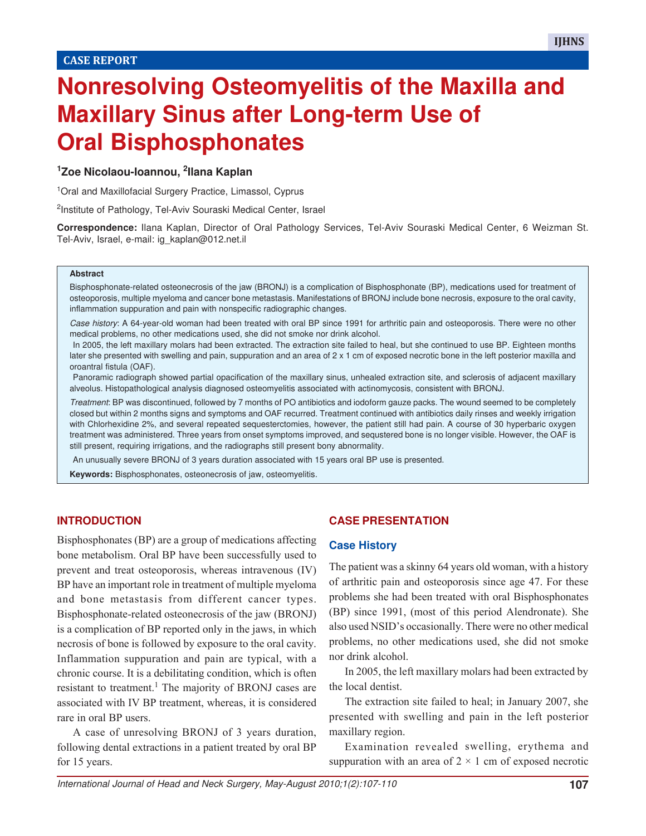# **Nonresolving Osteomyelitis of the Maxilla and Maxillary Sinus after Long-term Use of Oral Bisphosphonates**

## **<sup>1</sup>Zoe Nicolaou-Ioannou, <sup>2</sup> Ilana Kaplan**

<sup>1</sup> Oral and Maxillofacial Surgery Practice, Limassol, Cyprus

<sup>2</sup>Institute of Pathology, Tel-Aviv Souraski Medical Center, Israel

**Correspondence:** Ilana Kaplan, Director of Oral Pathology Services, Tel-Aviv Souraski Medical Center, 6 Weizman St. Tel-Aviv, Israel, e-mail: ig\_kaplan@012.net.il

#### **Abstract**

Bisphosphonate-related osteonecrosis of the jaw (BRONJ) is a complication of Bisphosphonate (BP), medications used for treatment of osteoporosis, multiple myeloma and cancer bone metastasis. Manifestations of BRONJ include bone necrosis, exposure to the oral cavity, inflammation suppuration and pain with nonspecific radiographic changes.

Case history: A 64-year-old woman had been treated with oral BP since 1991 for arthritic pain and osteoporosis. There were no other medical problems, no other medications used, she did not smoke nor drink alcohol.

In 2005, the left maxillary molars had been extracted. The extraction site failed to heal, but she continued to use BP. Eighteen months later she presented with swelling and pain, suppuration and an area of 2 x 1 cm of exposed necrotic bone in the left posterior maxilla and oroantral fistula (OAF).

Panoramic radiograph showed partial opacification of the maxillary sinus, unhealed extraction site, and sclerosis of adjacent maxillary alveolus. Histopathological analysis diagnosed osteomyelitis associated with actinomycosis, consistent with BRONJ.

Treatment: BP was discontinued, followed by 7 months of PO antibiotics and iodoform gauze packs. The wound seemed to be completely closed but within 2 months signs and symptoms and OAF recurred. Treatment continued with antibiotics daily rinses and weekly irrigation with Chlorhexidine 2%, and several repeated sequesterctomies, however, the patient still had pain. A course of 30 hyperbaric oxygen treatment was administered. Three years from onset symptoms improved, and sequstered bone is no longer visible. However, the OAF is still present, requiring irrigations, and the radiographs still present bony abnormality.

An unusually severe BRONJ of 3 years duration associated with 15 years oral BP use is presented.

**Keywords:** Bisphosphonates, osteonecrosis of jaw, osteomyelitis.

## **INTRODUCTION**

Bisphosphonates (BP) are a group of medications affecting bone metabolism. Oral BP have been successfully used to prevent and treat osteoporosis, whereas intravenous (IV) BP have an important role in treatment of multiple myeloma and bone metastasis from different cancer types. Bisphosphonate-related osteonecrosis of the jaw (BRONJ) is a complication of BP reported only in the jaws, in which necrosis of bone is followed by exposure to the oral cavity. Inflammation suppuration and pain are typical, with a chronic course. It is a debilitating condition, which is often resistant to treatment.<sup>1</sup> The majority of BRONJ cases are associated with IV BP treatment, whereas, it is considered rare in oral BP users.

A case of unresolving BRONJ of 3 years duration, following dental extractions in a patient treated by oral BP for 15 years.

## **CASE PRESENTATION**

#### **Case History**

The patient was a skinny 64 years old woman, with a history of arthritic pain and osteoporosis since age 47. For these problems she had been treated with oral Bisphosphonates (BP) since 1991, (most of this period Alendronate). She also used NSID's occasionally. There were no other medical problems, no other medications used, she did not smoke nor drink alcohol.

In 2005, the left maxillary molars had been extracted by the local dentist.

The extraction site failed to heal; in January 2007, she presented with swelling and pain in the left posterior maxillary region.

Examination revealed swelling, erythema and suppuration with an area of  $2 \times 1$  cm of exposed necrotic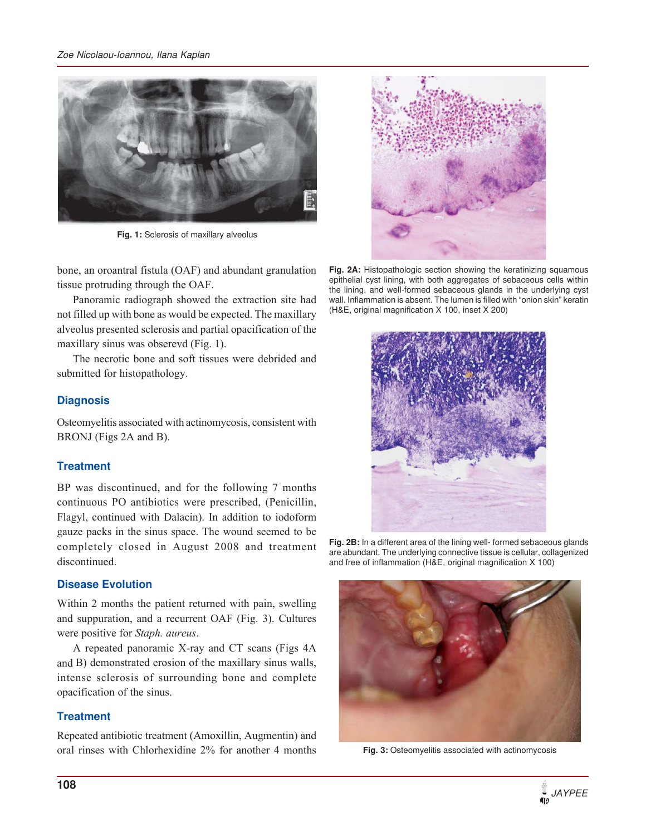#### Zoe Nicolaou-Ioannou, Ilana Kaplan



**Fig. 1:** Sclerosis of maxillary alveolus

bone, an oroantral fistula (OAF) and abundant granulation tissue protruding through the OAF.

Panoramic radiograph showed the extraction site had not filled up with bone as would be expected. The maxillary alveolus presented sclerosis and partial opacification of the maxillary sinus was obserevd (Fig. 1).

The necrotic bone and soft tissues were debrided and submitted for histopathology.

## **Diagnosis**

Osteomyelitis associated with actinomycosis, consistent with BRONJ (Figs 2A and B).

## **Treatment**

BP was discontinued, and for the following 7 months continuous PO antibiotics were prescribed, (Penicillin, Flagyl, continued with Dalacin). In addition to iodoform gauze packs in the sinus space. The wound seemed to be completely closed in August 2008 and treatment discontinued.

## **Disease Evolution**

Within 2 months the patient returned with pain, swelling and suppuration, and a recurrent OAF (Fig. 3). Cultures were positive for *Staph. aureus*.

A repeated panoramic X-ray and CT scans (Figs 4A and B) demonstrated erosion of the maxillary sinus walls, intense sclerosis of surrounding bone and complete opacification of the sinus.

## **Treatment**

Repeated antibiotic treatment (Amoxillin, Augmentin) and oral rinses with Chlorhexidine 2% for another 4 months **Fig. 3:** Osteomyelitis associated with actinomycosis



Fig. 2A: Histopathologic section showing the keratinizing squamous epithelial cyst lining, with both aggregates of sebaceous cells within the lining, and well-formed sebaceous glands in the underlying cyst wall. Inflammation is absent. The lumen is filled with "onion skin" keratin (H&E, original magnification X 100, inset X 200)



**Fig. 2B:** In a different area of the lining well- formed sebaceous glands are abundant. The underlying connective tissue is cellular, collagenized and free of inflammation (H&E, original magnification X 100)

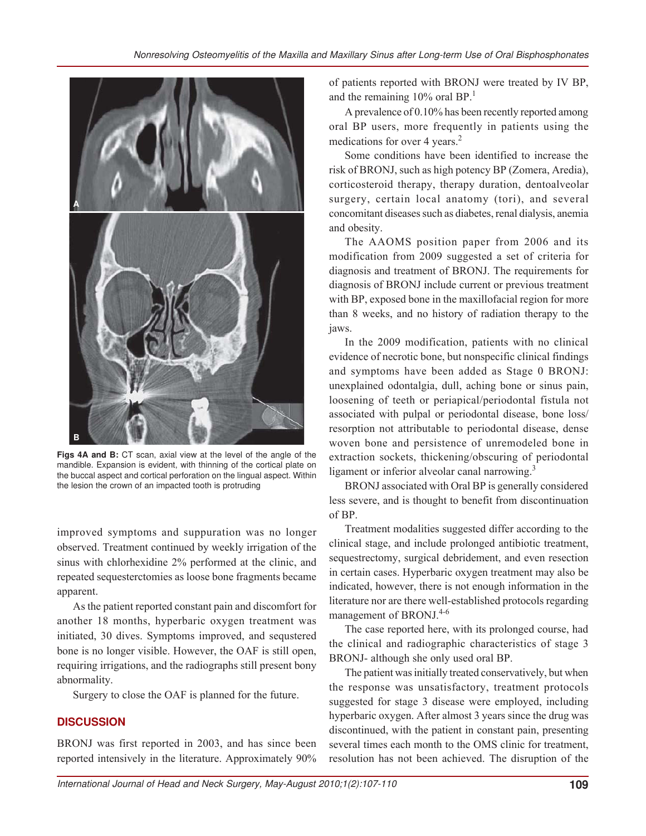

**Figs 4A and B:** CT scan, axial view at the level of the angle of the mandible. Expansion is evident, with thinning of the cortical plate on the buccal aspect and cortical perforation on the lingual aspect. Within the lesion the crown of an impacted tooth is protruding

improved symptoms and suppuration was no longer observed. Treatment continued by weekly irrigation of the sinus with chlorhexidine 2% performed at the clinic, and repeated sequesterctomies as loose bone fragments became apparent.

As the patient reported constant pain and discomfort for another 18 months, hyperbaric oxygen treatment was initiated, 30 dives. Symptoms improved, and sequstered bone is no longer visible. However, the OAF is still open, requiring irrigations, and the radiographs still present bony abnormality.

Surgery to close the OAF is planned for the future.

## **DISCUSSION**

BRONJ was first reported in 2003, and has since been reported intensively in the literature. Approximately 90%

of patients reported with BRONJ were treated by IV BP, and the remaining  $10\%$  oral BP.<sup>1</sup>

A prevalence of 0.10% has been recently reported among oral BP users, more frequently in patients using the medications for over 4 years.<sup>2</sup>

Some conditions have been identified to increase the risk of BRONJ, such as high potency BP (Zomera, Aredia), corticosteroid therapy, therapy duration, dentoalveolar surgery, certain local anatomy (tori), and several concomitant diseases such as diabetes, renal dialysis, anemia and obesity.

The AAOMS position paper from 2006 and its modification from 2009 suggested a set of criteria for diagnosis and treatment of BRONJ. The requirements for diagnosis of BRONJ include current or previous treatment with BP, exposed bone in the maxillofacial region for more than 8 weeks, and no history of radiation therapy to the jaws.

In the 2009 modification, patients with no clinical evidence of necrotic bone, but nonspecific clinical findings and symptoms have been added as Stage 0 BRONJ: unexplained odontalgia, dull, aching bone or sinus pain, loosening of teeth or periapical/periodontal fistula not associated with pulpal or periodontal disease, bone loss/ resorption not attributable to periodontal disease, dense woven bone and persistence of unremodeled bone in extraction sockets, thickening/obscuring of periodontal ligament or inferior alveolar canal narrowing.<sup>3</sup>

BRONJ associated with Oral BP is generally considered less severe, and is thought to benefit from discontinuation of BP.

Treatment modalities suggested differ according to the clinical stage, and include prolonged antibiotic treatment, sequestrectomy, surgical debridement, and even resection in certain cases. Hyperbaric oxygen treatment may also be indicated, however, there is not enough information in the literature nor are there well-established protocols regarding management of BRONJ.<sup>4-6</sup>

The case reported here, with its prolonged course, had the clinical and radiographic characteristics of stage 3 BRONJ- although she only used oral BP.

The patient was initially treated conservatively, but when the response was unsatisfactory, treatment protocols suggested for stage 3 disease were employed, including hyperbaric oxygen. After almost 3 years since the drug was discontinued, with the patient in constant pain, presenting several times each month to the OMS clinic for treatment, resolution has not been achieved. The disruption of the